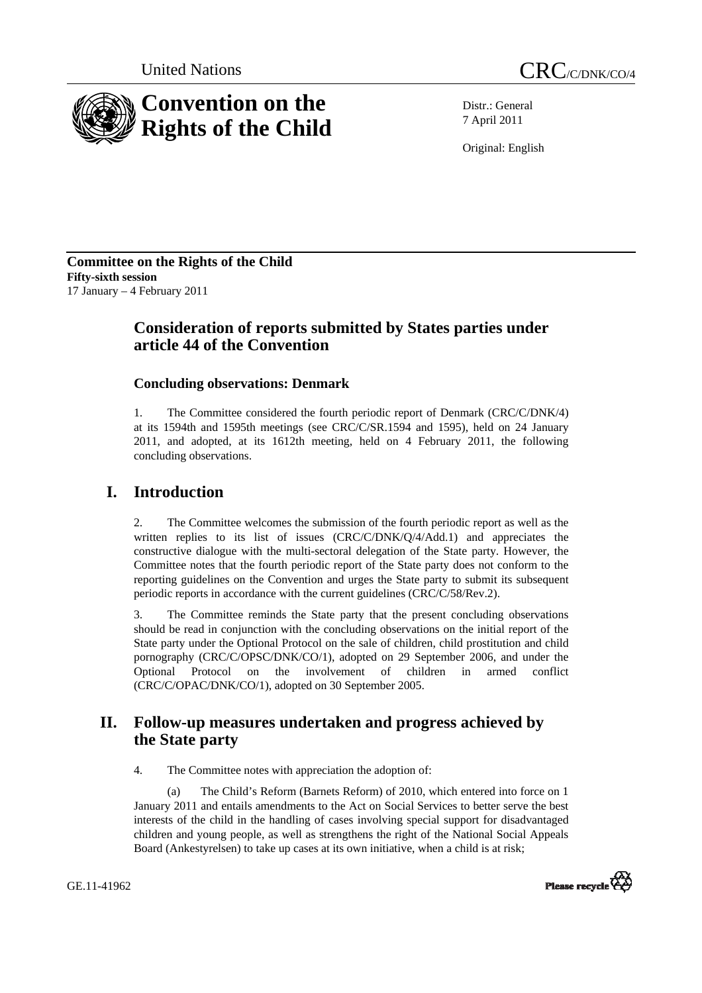



Distr.: General 7 April 2011

Original: English

**Committee on the Rights of the Child Fifty-sixth session**  17 January – 4 February 2011

# **Consideration of reports submitted by States parties under article 44 of the Convention**

# **Concluding observations: Denmark**

1. The Committee considered the fourth periodic report of Denmark (CRC/C/DNK/4) at its 1594th and 1595th meetings (see CRC/C/SR.1594 and 1595), held on 24 January 2011, and adopted, at its 1612th meeting, held on 4 February 2011, the following concluding observations.

# **I. Introduction**

The Committee welcomes the submission of the fourth periodic report as well as the written replies to its list of issues (CRC/C/DNK/Q/4/Add.1) and appreciates the constructive dialogue with the multi-sectoral delegation of the State party. However, the Committee notes that the fourth periodic report of the State party does not conform to the reporting guidelines on the Convention and urges the State party to submit its subsequent periodic reports in accordance with the current guidelines (CRC/C/58/Rev.2).

3. The Committee reminds the State party that the present concluding observations should be read in conjunction with the concluding observations on the initial report of the State party under the Optional Protocol on the sale of children, child prostitution and child pornography (CRC/C/OPSC/DNK/CO/1), adopted on 29 September 2006, and under the Optional Protocol on the involvement of children in armed conflict (CRC/C/OPAC/DNK/CO/1), adopted on 30 September 2005.

# **II. Follow-up measures undertaken and progress achieved by the State party**

4. The Committee notes with appreciation the adoption of:

(a) The Child's Reform (Barnets Reform) of 2010, which entered into force on 1 January 2011 and entails amendments to the Act on Social Services to better serve the best interests of the child in the handling of cases involving special support for disadvantaged children and young people, as well as strengthens the right of the National Social Appeals Board (Ankestyrelsen) to take up cases at its own initiative, when a child is at risk;



GE.11-41962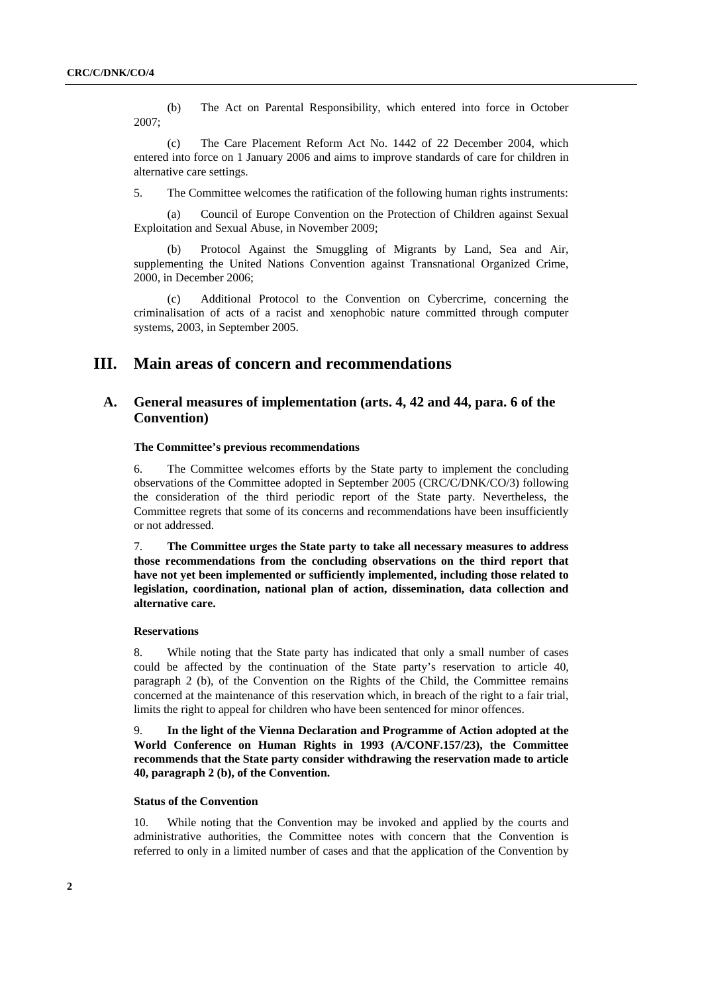(b) The Act on Parental Responsibility, which entered into force in October 2007;

(c) The Care Placement Reform Act No. 1442 of 22 December 2004, which entered into force on 1 January 2006 and aims to improve standards of care for children in alternative care settings.

5. The Committee welcomes the ratification of the following human rights instruments:

(a) Council of Europe Convention on the Protection of Children against Sexual Exploitation and Sexual Abuse, in November 2009;

Protocol Against the Smuggling of Migrants by Land, Sea and Air, supplementing the United Nations Convention against Transnational Organized Crime, 2000, in December 2006;

(c) Additional Protocol to the Convention on Cybercrime, concerning the criminalisation of acts of a racist and xenophobic nature committed through computer systems, 2003, in September 2005.

# **III. Main areas of concern and recommendations**

# **A. General measures of implementation (arts. 4, 42 and 44, para. 6 of the Convention)**

## **The Committee's previous recommendations**

6. The Committee welcomes efforts by the State party to implement the concluding observations of the Committee adopted in September 2005 (CRC/C/DNK/CO/3) following the consideration of the third periodic report of the State party. Nevertheless, the Committee regrets that some of its concerns and recommendations have been insufficiently or not addressed.

7. **The Committee urges the State party to take all necessary measures to address those recommendations from the concluding observations on the third report that have not yet been implemented or sufficiently implemented, including those related to legislation, coordination, national plan of action, dissemination, data collection and alternative care.** 

#### **Reservations**

8. While noting that the State party has indicated that only a small number of cases could be affected by the continuation of the State party's reservation to article 40, paragraph 2 (b), of the Convention on the Rights of the Child, the Committee remains concerned at the maintenance of this reservation which, in breach of the right to a fair trial, limits the right to appeal for children who have been sentenced for minor offences.

9. **In the light of the Vienna Declaration and Programme of Action adopted at the World Conference on Human Rights in 1993 (A/CONF.157/23), the Committee recommends that the State party consider withdrawing the reservation made to article 40, paragraph 2 (b), of the Convention.**

## **Status of the Convention**

10. While noting that the Convention may be invoked and applied by the courts and administrative authorities, the Committee notes with concern that the Convention is referred to only in a limited number of cases and that the application of the Convention by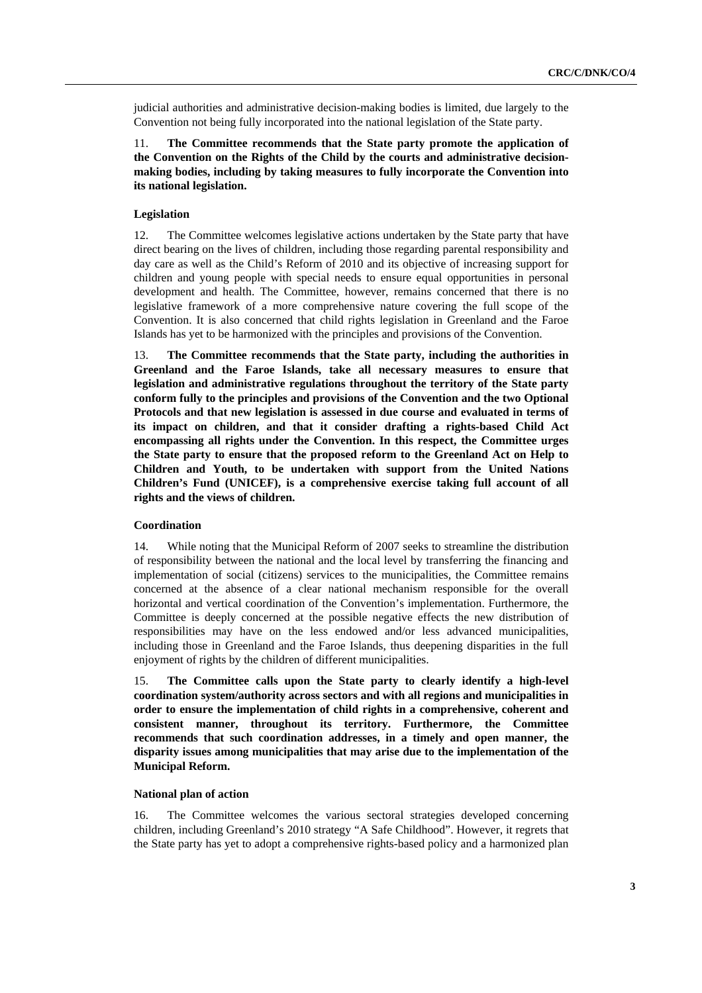judicial authorities and administrative decision-making bodies is limited, due largely to the Convention not being fully incorporated into the national legislation of the State party.

11. **The Committee recommends that the State party promote the application of the Convention on the Rights of the Child by the courts and administrative decisionmaking bodies, including by taking measures to fully incorporate the Convention into its national legislation.**

### **Legislation**

12. The Committee welcomes legislative actions undertaken by the State party that have direct bearing on the lives of children, including those regarding parental responsibility and day care as well as the Child's Reform of 2010 and its objective of increasing support for children and young people with special needs to ensure equal opportunities in personal development and health. The Committee, however, remains concerned that there is no legislative framework of a more comprehensive nature covering the full scope of the Convention. It is also concerned that child rights legislation in Greenland and the Faroe Islands has yet to be harmonized with the principles and provisions of the Convention.

13. **The Committee recommends that the State party, including the authorities in Greenland and the Faroe Islands, take all necessary measures to ensure that legislation and administrative regulations throughout the territory of the State party conform fully to the principles and provisions of the Convention and the two Optional Protocols and that new legislation is assessed in due course and evaluated in terms of its impact on children, and that it consider drafting a rights-based Child Act encompassing all rights under the Convention. In this respect, the Committee urges the State party to ensure that the proposed reform to the Greenland Act on Help to Children and Youth, to be undertaken with support from the United Nations Children's Fund (UNICEF), is a comprehensive exercise taking full account of all rights and the views of children.**

## **Coordination**

14. While noting that the Municipal Reform of 2007 seeks to streamline the distribution of responsibility between the national and the local level by transferring the financing and implementation of social (citizens) services to the municipalities, the Committee remains concerned at the absence of a clear national mechanism responsible for the overall horizontal and vertical coordination of the Convention's implementation. Furthermore, the Committee is deeply concerned at the possible negative effects the new distribution of responsibilities may have on the less endowed and/or less advanced municipalities, including those in Greenland and the Faroe Islands, thus deepening disparities in the full enjoyment of rights by the children of different municipalities.

15. **The Committee calls upon the State party to clearly identify a high-level coordination system/authority across sectors and with all regions and municipalities in order to ensure the implementation of child rights in a comprehensive, coherent and consistent manner, throughout its territory. Furthermore, the Committee recommends that such coordination addresses, in a timely and open manner, the disparity issues among municipalities that may arise due to the implementation of the Municipal Reform.**

## **National plan of action**

16. The Committee welcomes the various sectoral strategies developed concerning children, including Greenland's 2010 strategy "A Safe Childhood". However, it regrets that the State party has yet to adopt a comprehensive rights-based policy and a harmonized plan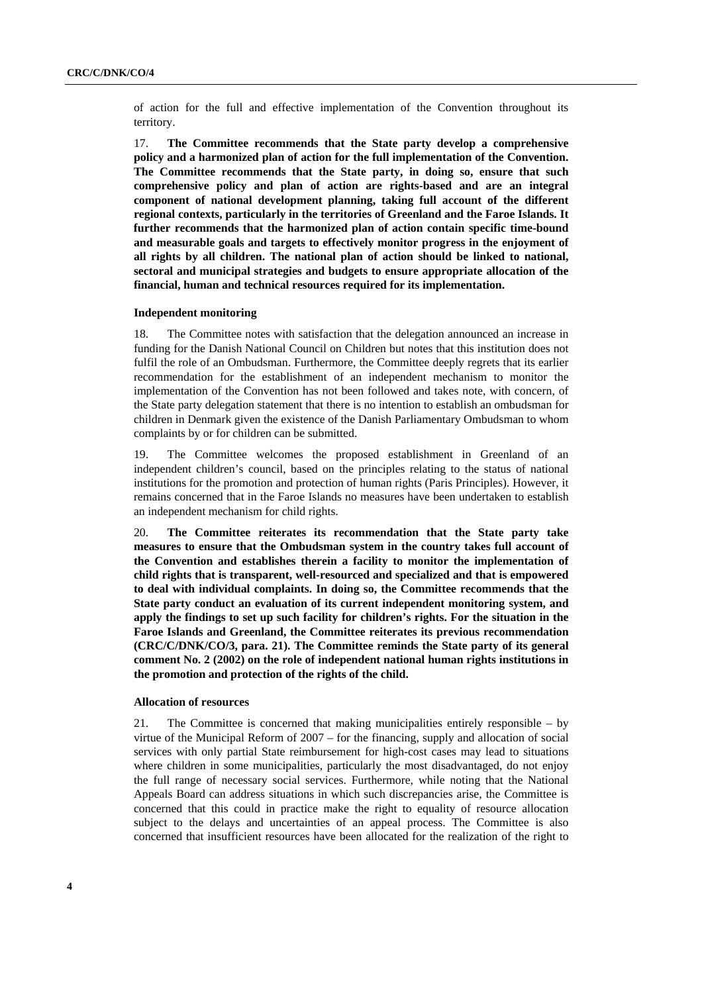of action for the full and effective implementation of the Convention throughout its territory.

17. **The Committee recommends that the State party develop a comprehensive policy and a harmonized plan of action for the full implementation of the Convention. The Committee recommends that the State party, in doing so, ensure that such comprehensive policy and plan of action are rights-based and are an integral component of national development planning, taking full account of the different regional contexts, particularly in the territories of Greenland and the Faroe Islands. It further recommends that the harmonized plan of action contain specific time-bound and measurable goals and targets to effectively monitor progress in the enjoyment of all rights by all children. The national plan of action should be linked to national, sectoral and municipal strategies and budgets to ensure appropriate allocation of the financial, human and technical resources required for its implementation.**

#### **Independent monitoring**

18. The Committee notes with satisfaction that the delegation announced an increase in funding for the Danish National Council on Children but notes that this institution does not fulfil the role of an Ombudsman. Furthermore, the Committee deeply regrets that its earlier recommendation for the establishment of an independent mechanism to monitor the implementation of the Convention has not been followed and takes note, with concern, of the State party delegation statement that there is no intention to establish an ombudsman for children in Denmark given the existence of the Danish Parliamentary Ombudsman to whom complaints by or for children can be submitted.

19. The Committee welcomes the proposed establishment in Greenland of an independent children's council, based on the principles relating to the status of national institutions for the promotion and protection of human rights (Paris Principles). However, it remains concerned that in the Faroe Islands no measures have been undertaken to establish an independent mechanism for child rights.

20. **The Committee reiterates its recommendation that the State party take measures to ensure that the Ombudsman system in the country takes full account of the Convention and establishes therein a facility to monitor the implementation of child rights that is transparent, well-resourced and specialized and that is empowered to deal with individual complaints. In doing so, the Committee recommends that the State party conduct an evaluation of its current independent monitoring system, and apply the findings to set up such facility for children's rights. For the situation in the Faroe Islands and Greenland, the Committee reiterates its previous recommendation (CRC/C/DNK/CO/3, para. 21). The Committee reminds the State party of its general comment No. 2 (2002) on the role of independent national human rights institutions in the promotion and protection of the rights of the child.** 

## **Allocation of resources**

21. The Committee is concerned that making municipalities entirely responsible – by virtue of the Municipal Reform of 2007 – for the financing, supply and allocation of social services with only partial State reimbursement for high-cost cases may lead to situations where children in some municipalities, particularly the most disadvantaged, do not enjoy the full range of necessary social services. Furthermore, while noting that the National Appeals Board can address situations in which such discrepancies arise, the Committee is concerned that this could in practice make the right to equality of resource allocation subject to the delays and uncertainties of an appeal process. The Committee is also concerned that insufficient resources have been allocated for the realization of the right to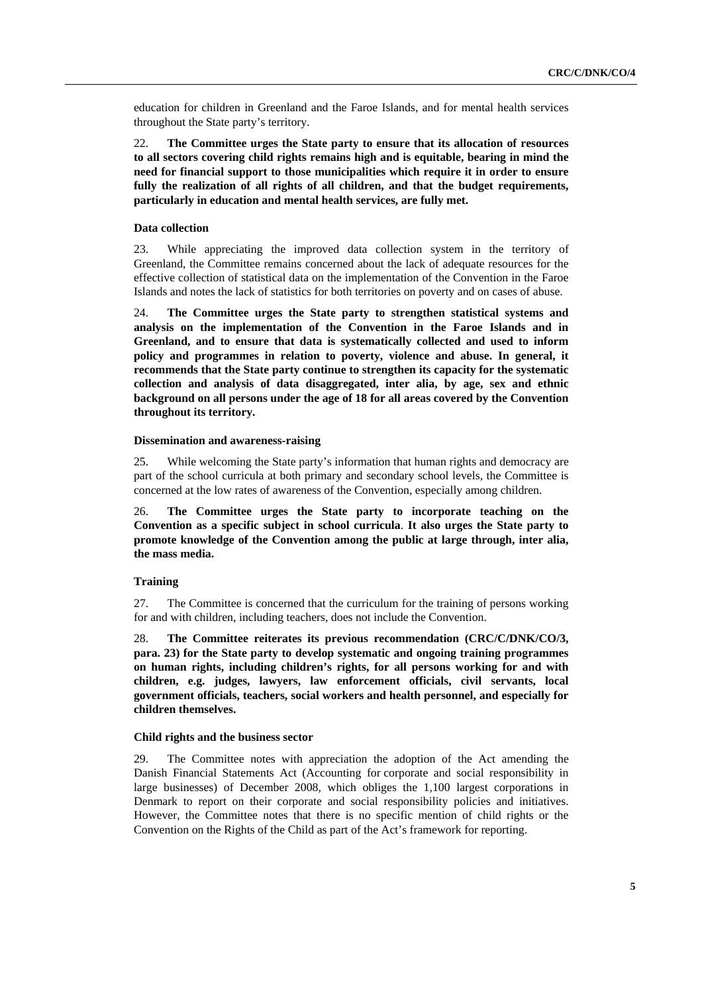education for children in Greenland and the Faroe Islands, and for mental health services throughout the State party's territory.

22. **The Committee urges the State party to ensure that its allocation of resources to all sectors covering child rights remains high and is equitable, bearing in mind the need for financial support to those municipalities which require it in order to ensure fully the realization of all rights of all children, and that the budget requirements, particularly in education and mental health services, are fully met.**

#### **Data collection**

23. While appreciating the improved data collection system in the territory of Greenland, the Committee remains concerned about the lack of adequate resources for the effective collection of statistical data on the implementation of the Convention in the Faroe Islands and notes the lack of statistics for both territories on poverty and on cases of abuse.

24. **The Committee urges the State party to strengthen statistical systems and analysis on the implementation of the Convention in the Faroe Islands and in Greenland, and to ensure that data is systematically collected and used to inform policy and programmes in relation to poverty, violence and abuse. In general, it recommends that the State party continue to strengthen its capacity for the systematic collection and analysis of data disaggregated, inter alia, by age, sex and ethnic background on all persons under the age of 18 for all areas covered by the Convention throughout its territory.** 

#### **Dissemination and awareness-raising**

25. While welcoming the State party's information that human rights and democracy are part of the school curricula at both primary and secondary school levels, the Committee is concerned at the low rates of awareness of the Convention, especially among children.

26. **The Committee urges the State party to incorporate teaching on the Convention as a specific subject in school curricula**. **It also urges the State party to promote knowledge of the Convention among the public at large through, inter alia, the mass media.** 

### **Training**

27. The Committee is concerned that the curriculum for the training of persons working for and with children, including teachers, does not include the Convention.

28. **The Committee reiterates its previous recommendation (CRC/C/DNK/CO/3, para. 23) for the State party to develop systematic and ongoing training programmes on human rights, including children's rights, for all persons working for and with children, e.g. judges, lawyers, law enforcement officials, civil servants, local government officials, teachers, social workers and health personnel, and especially for children themselves.** 

#### **Child rights and the business sector**

29. The Committee notes with appreciation the adoption of the Act amending the Danish Financial Statements Act (Accounting for corporate and social responsibility in large businesses) of December 2008, which obliges the 1,100 largest corporations in Denmark to report on their corporate and social responsibility policies and initiatives. However, the Committee notes that there is no specific mention of child rights or the Convention on the Rights of the Child as part of the Act's framework for reporting.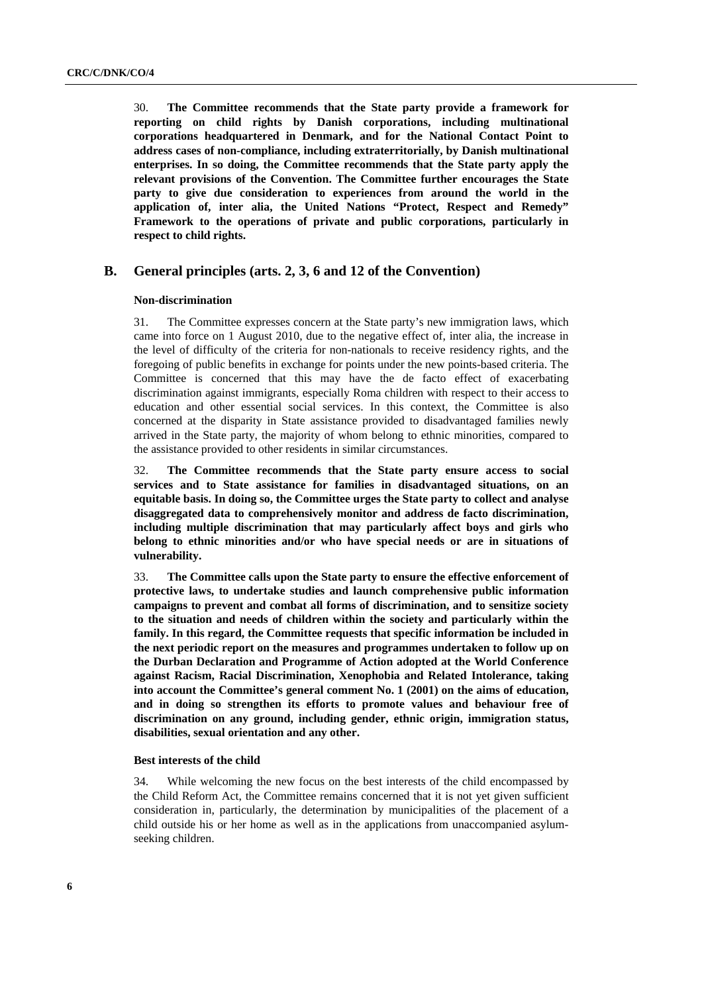30. **The Committee recommends that the State party provide a framework for reporting on child rights by Danish corporations, including multinational corporations headquartered in Denmark, and for the National Contact Point to address cases of non-compliance, including extraterritorially, by Danish multinational enterprises. In so doing, the Committee recommends that the State party apply the relevant provisions of the Convention. The Committee further encourages the State party to give due consideration to experiences from around the world in the application of, inter alia, the United Nations "Protect, Respect and Remedy" Framework to the operations of private and public corporations, particularly in respect to child rights.** 

## **B. General principles (arts. 2, 3, 6 and 12 of the Convention)**

#### **Non-discrimination**

31. The Committee expresses concern at the State party's new immigration laws, which came into force on 1 August 2010, due to the negative effect of, inter alia, the increase in the level of difficulty of the criteria for non-nationals to receive residency rights, and the foregoing of public benefits in exchange for points under the new points-based criteria. The Committee is concerned that this may have the de facto effect of exacerbating discrimination against immigrants, especially Roma children with respect to their access to education and other essential social services. In this context, the Committee is also concerned at the disparity in State assistance provided to disadvantaged families newly arrived in the State party, the majority of whom belong to ethnic minorities, compared to the assistance provided to other residents in similar circumstances.

32. **The Committee recommends that the State party ensure access to social services and to State assistance for families in disadvantaged situations, on an equitable basis. In doing so, the Committee urges the State party to collect and analyse disaggregated data to comprehensively monitor and address de facto discrimination, including multiple discrimination that may particularly affect boys and girls who belong to ethnic minorities and/or who have special needs or are in situations of vulnerability.**

33. **The Committee calls upon the State party to ensure the effective enforcement of protective laws, to undertake studies and launch comprehensive public information campaigns to prevent and combat all forms of discrimination, and to sensitize society to the situation and needs of children within the society and particularly within the family. In this regard, the Committee requests that specific information be included in the next periodic report on the measures and programmes undertaken to follow up on the Durban Declaration and Programme of Action adopted at the World Conference against Racism, Racial Discrimination, Xenophobia and Related Intolerance, taking into account the Committee's general comment No. 1 (2001) on the aims of education, and in doing so strengthen its efforts to promote values and behaviour free of discrimination on any ground, including gender, ethnic origin, immigration status, disabilities, sexual orientation and any other.** 

### **Best interests of the child**

34. While welcoming the new focus on the best interests of the child encompassed by the Child Reform Act, the Committee remains concerned that it is not yet given sufficient consideration in, particularly, the determination by municipalities of the placement of a child outside his or her home as well as in the applications from unaccompanied asylumseeking children.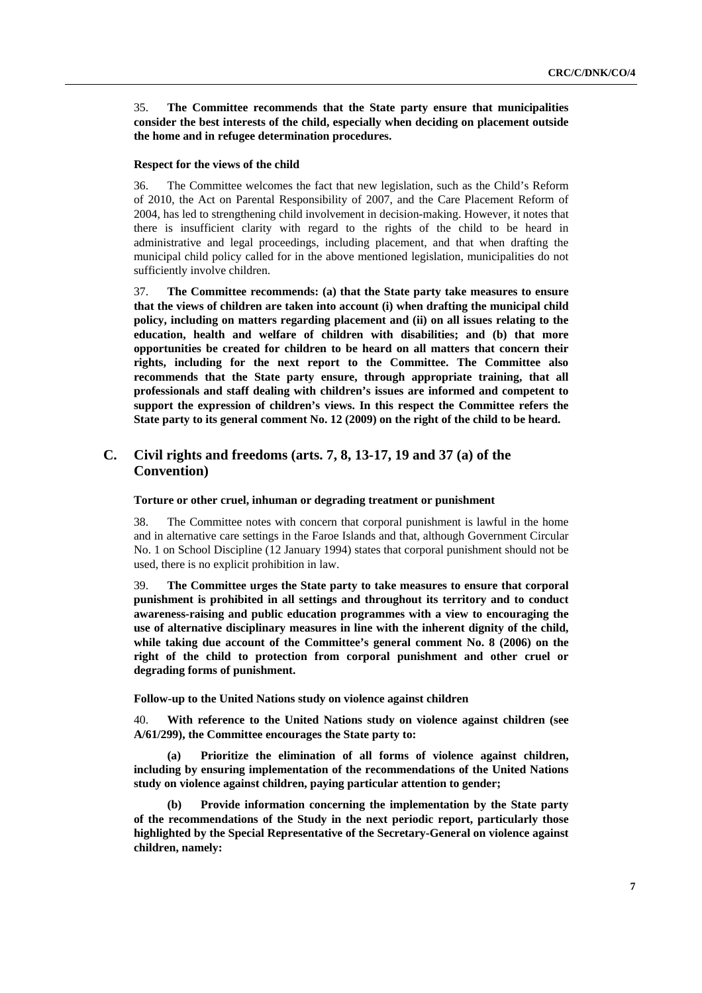35. **The Committee recommends that the State party ensure that municipalities consider the best interests of the child, especially when deciding on placement outside the home and in refugee determination procedures.**

#### **Respect for the views of the child**

36. The Committee welcomes the fact that new legislation, such as the Child's Reform of 2010, the Act on Parental Responsibility of 2007, and the Care Placement Reform of 2004, has led to strengthening child involvement in decision-making. However, it notes that there is insufficient clarity with regard to the rights of the child to be heard in administrative and legal proceedings, including placement, and that when drafting the municipal child policy called for in the above mentioned legislation, municipalities do not sufficiently involve children.

37. **The Committee recommends: (a) that the State party take measures to ensure that the views of children are taken into account (i) when drafting the municipal child policy, including on matters regarding placement and (ii) on all issues relating to the education, health and welfare of children with disabilities; and (b) that more opportunities be created for children to be heard on all matters that concern their rights, including for the next report to the Committee. The Committee also recommends that the State party ensure, through appropriate training, that all professionals and staff dealing with children's issues are informed and competent to support the expression of children's views. In this respect the Committee refers the State party to its general comment No. 12 (2009) on the right of the child to be heard.** 

# **C. Civil rights and freedoms (arts. 7, 8, 13-17, 19 and 37 (a) of the Convention)**

## **Torture or other cruel, inhuman or degrading treatment or punishment**

38. The Committee notes with concern that corporal punishment is lawful in the home and in alternative care settings in the Faroe Islands and that, although Government Circular No. 1 on School Discipline (12 January 1994) states that corporal punishment should not be used, there is no explicit prohibition in law.

39. **The Committee urges the State party to take measures to ensure that corporal punishment is prohibited in all settings and throughout its territory and to conduct awareness-raising and public education programmes with a view to encouraging the use of alternative disciplinary measures in line with the inherent dignity of the child, while taking due account of the Committee's general comment No. 8 (2006) on the right of the child to protection from corporal punishment and other cruel or degrading forms of punishment.** 

 **Follow-up to the United Nations study on violence against children** 

40. **With reference to the United Nations study on violence against children (see A/61/299), the Committee encourages the State party to:**

**(a) Prioritize the elimination of all forms of violence against children, including by ensuring implementation of the recommendations of the United Nations study on violence against children, paying particular attention to gender;** 

**(b) Provide information concerning the implementation by the State party of the recommendations of the Study in the next periodic report, particularly those highlighted by the Special Representative of the Secretary-General on violence against children, namely:**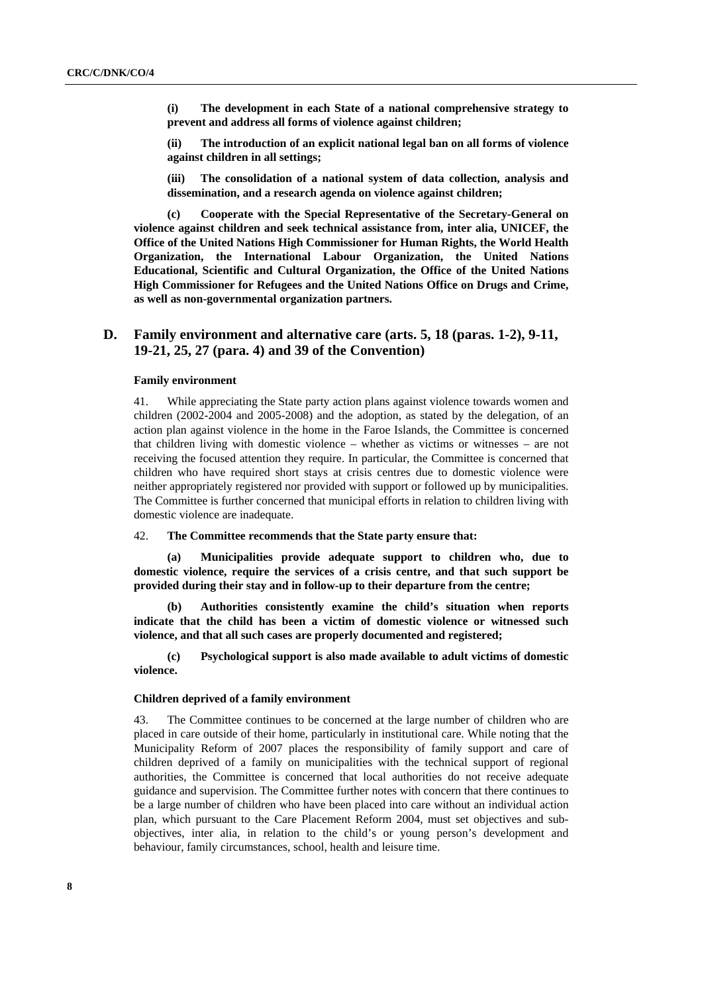**(i) The development in each State of a national comprehensive strategy to prevent and address all forms of violence against children;** 

**(ii) The introduction of an explicit national legal ban on all forms of violence against children in all settings;** 

**(iii) The consolidation of a national system of data collection, analysis and dissemination, and a research agenda on violence against children;** 

**(c) Cooperate with the Special Representative of the Secretary-General on violence against children and seek technical assistance from, inter alia, UNICEF, the Office of the United Nations High Commissioner for Human Rights, the World Health Organization, the International Labour Organization, the United Nations Educational, Scientific and Cultural Organization, the Office of the United Nations High Commissioner for Refugees and the United Nations Office on Drugs and Crime, as well as non-governmental organization partners.** 

# **D. Family environment and alternative care (arts. 5, 18 (paras. 1-2), 9-11, 19-21, 25, 27 (para. 4) and 39 of the Convention)**

## **Family environment**

41. While appreciating the State party action plans against violence towards women and children (2002-2004 and 2005-2008) and the adoption, as stated by the delegation, of an action plan against violence in the home in the Faroe Islands, the Committee is concerned that children living with domestic violence – whether as victims or witnesses – are not receiving the focused attention they require. In particular, the Committee is concerned that children who have required short stays at crisis centres due to domestic violence were neither appropriately registered nor provided with support or followed up by municipalities. The Committee is further concerned that municipal efforts in relation to children living with domestic violence are inadequate.

42. **The Committee recommends that the State party ensure that:** 

**(a) Municipalities provide adequate support to children who, due to domestic violence, require the services of a crisis centre, and that such support be provided during their stay and in follow-up to their departure from the centre;** 

**(b) Authorities consistently examine the child's situation when reports indicate that the child has been a victim of domestic violence or witnessed such violence, and that all such cases are properly documented and registered;** 

 **(c) Psychological support is also made available to adult victims of domestic violence.** 

#### **Children deprived of a family environment**

43. The Committee continues to be concerned at the large number of children who are placed in care outside of their home, particularly in institutional care. While noting that the Municipality Reform of 2007 places the responsibility of family support and care of children deprived of a family on municipalities with the technical support of regional authorities, the Committee is concerned that local authorities do not receive adequate guidance and supervision. The Committee further notes with concern that there continues to be a large number of children who have been placed into care without an individual action plan, which pursuant to the Care Placement Reform 2004, must set objectives and subobjectives, inter alia, in relation to the child's or young person's development and behaviour, family circumstances, school, health and leisure time.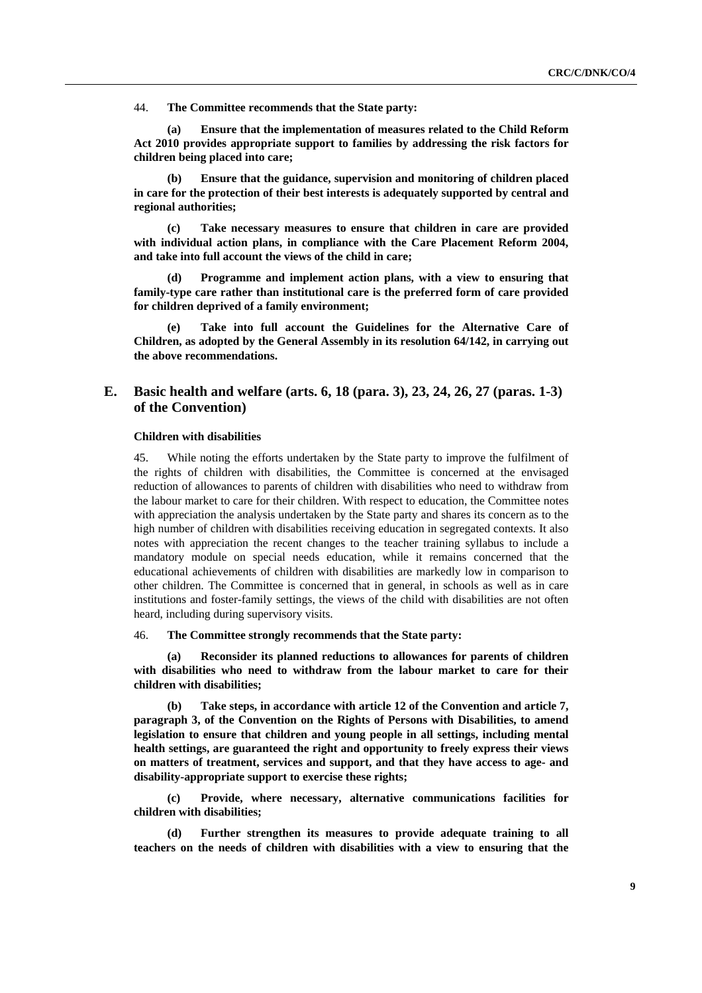44. **The Committee recommends that the State party:**

**(a) Ensure that the implementation of measures related to the Child Reform Act 2010 provides appropriate support to families by addressing the risk factors for children being placed into care;** 

**(b) Ensure that the guidance, supervision and monitoring of children placed in care for the protection of their best interests is adequately supported by central and regional authorities;** 

**(c) Take necessary measures to ensure that children in care are provided with individual action plans, in compliance with the Care Placement Reform 2004, and take into full account the views of the child in care;** 

**(d) Programme and implement action plans, with a view to ensuring that family-type care rather than institutional care is the preferred form of care provided for children deprived of a family environment;** 

Take into full account the Guidelines for the Alternative Care of **Children, as adopted by the General Assembly in its resolution 64/142, in carrying out the above recommendations.** 

## **E. Basic health and welfare (arts. 6, 18 (para. 3), 23, 24, 26, 27 (paras. 1-3) of the Convention)**

## **Children with disabilities**

45. While noting the efforts undertaken by the State party to improve the fulfilment of the rights of children with disabilities, the Committee is concerned at the envisaged reduction of allowances to parents of children with disabilities who need to withdraw from the labour market to care for their children. With respect to education, the Committee notes with appreciation the analysis undertaken by the State party and shares its concern as to the high number of children with disabilities receiving education in segregated contexts. It also notes with appreciation the recent changes to the teacher training syllabus to include a mandatory module on special needs education, while it remains concerned that the educational achievements of children with disabilities are markedly low in comparison to other children. The Committee is concerned that in general, in schools as well as in care institutions and foster-family settings, the views of the child with disabilities are not often heard, including during supervisory visits.

46. **The Committee strongly recommends that the State party:** 

**(a) Reconsider its planned reductions to allowances for parents of children with disabilities who need to withdraw from the labour market to care for their children with disabilities;** 

**(b) Take steps, in accordance with article 12 of the Convention and article 7, paragraph 3, of the Convention on the Rights of Persons with Disabilities, to amend legislation to ensure that children and young people in all settings, including mental health settings, are guaranteed the right and opportunity to freely express their views on matters of treatment, services and support, and that they have access to age- and disability-appropriate support to exercise these rights;** 

**(c) Provide, where necessary, alternative communications facilities for children with disabilities;** 

Further strengthen its measures to provide adequate training to all **teachers on the needs of children with disabilities with a view to ensuring that the**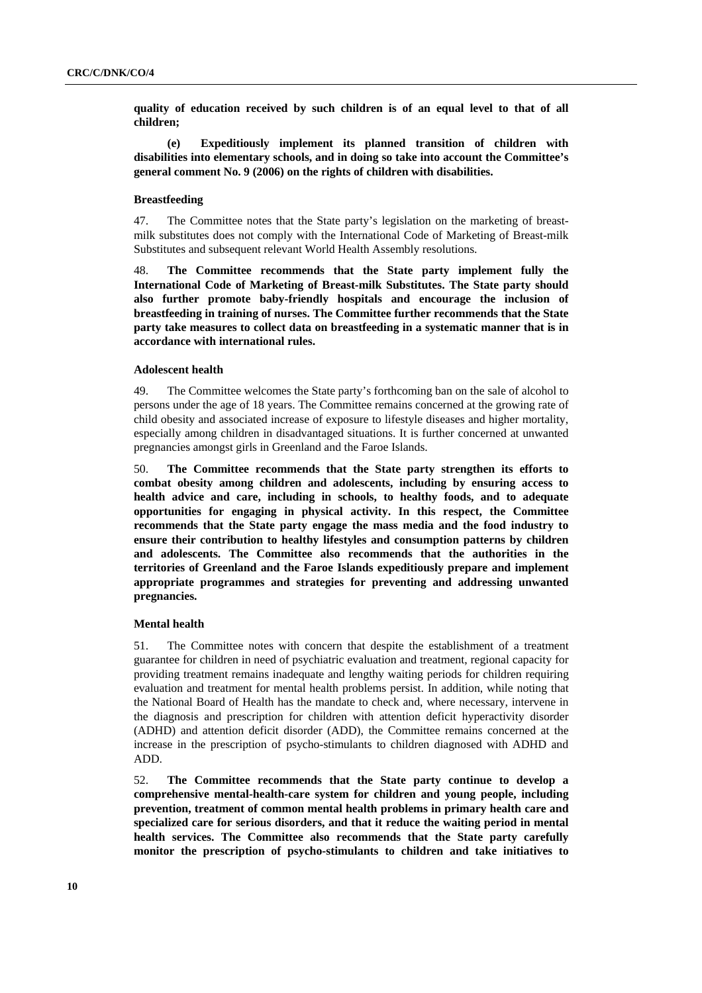**quality of education received by such children is of an equal level to that of all children;** 

**(e) Expeditiously implement its planned transition of children with disabilities into elementary schools, and in doing so take into account the Committee's general comment No. 9 (2006) on the rights of children with disabilities.** 

## **Breastfeeding**

47. The Committee notes that the State party's legislation on the marketing of breastmilk substitutes does not comply with the International Code of Marketing of Breast-milk Substitutes and subsequent relevant World Health Assembly resolutions.

48. **The Committee recommends that the State party implement fully the International Code of Marketing of Breast-milk Substitutes. The State party should also further promote baby-friendly hospitals and encourage the inclusion of breastfeeding in training of nurses. The Committee further recommends that the State party take measures to collect data on breastfeeding in a systematic manner that is in accordance with international rules.** 

## **Adolescent health**

49. The Committee welcomes the State party's forthcoming ban on the sale of alcohol to persons under the age of 18 years. The Committee remains concerned at the growing rate of child obesity and associated increase of exposure to lifestyle diseases and higher mortality, especially among children in disadvantaged situations. It is further concerned at unwanted pregnancies amongst girls in Greenland and the Faroe Islands.

50. **The Committee recommends that the State party strengthen its efforts to combat obesity among children and adolescents, including by ensuring access to health advice and care, including in schools, to healthy foods, and to adequate opportunities for engaging in physical activity. In this respect, the Committee recommends that the State party engage the mass media and the food industry to ensure their contribution to healthy lifestyles and consumption patterns by children and adolescents. The Committee also recommends that the authorities in the territories of Greenland and the Faroe Islands expeditiously prepare and implement appropriate programmes and strategies for preventing and addressing unwanted pregnancies.**

#### **Mental health**

51. The Committee notes with concern that despite the establishment of a treatment guarantee for children in need of psychiatric evaluation and treatment, regional capacity for providing treatment remains inadequate and lengthy waiting periods for children requiring evaluation and treatment for mental health problems persist. In addition, while noting that the National Board of Health has the mandate to check and, where necessary, intervene in the diagnosis and prescription for children with attention deficit hyperactivity disorder (ADHD) and attention deficit disorder (ADD), the Committee remains concerned at the increase in the prescription of psycho-stimulants to children diagnosed with ADHD and ADD.

52. **The Committee recommends that the State party continue to develop a comprehensive mental-health-care system for children and young people, including prevention, treatment of common mental health problems in primary health care and specialized care for serious disorders, and that it reduce the waiting period in mental health services. The Committee also recommends that the State party carefully monitor the prescription of psycho-stimulants to children and take initiatives to**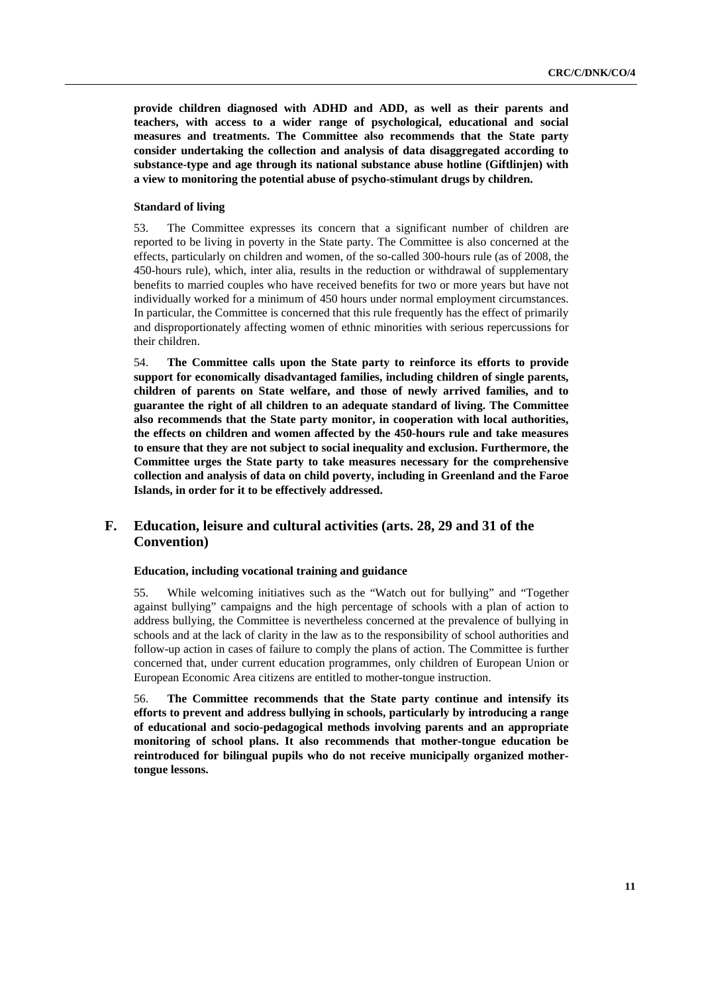**provide children diagnosed with ADHD and ADD, as well as their parents and teachers, with access to a wider range of psychological, educational and social measures and treatments. The Committee also recommends that the State party consider undertaking the collection and analysis of data disaggregated according to substance-type and age through its national substance abuse hotline (Giftlinjen) with a view to monitoring the potential abuse of psycho-stimulant drugs by children.** 

### **Standard of living**

53. The Committee expresses its concern that a significant number of children are reported to be living in poverty in the State party. The Committee is also concerned at the effects, particularly on children and women, of the so-called 300-hours rule (as of 2008, the 450-hours rule), which, inter alia, results in the reduction or withdrawal of supplementary benefits to married couples who have received benefits for two or more years but have not individually worked for a minimum of 450 hours under normal employment circumstances. In particular, the Committee is concerned that this rule frequently has the effect of primarily and disproportionately affecting women of ethnic minorities with serious repercussions for their children.

54. **The Committee calls upon the State party to reinforce its efforts to provide support for economically disadvantaged families, including children of single parents, children of parents on State welfare, and those of newly arrived families, and to guarantee the right of all children to an adequate standard of living. The Committee also recommends that the State party monitor, in cooperation with local authorities, the effects on children and women affected by the 450-hours rule and take measures to ensure that they are not subject to social inequality and exclusion. Furthermore, the Committee urges the State party to take measures necessary for the comprehensive collection and analysis of data on child poverty, including in Greenland and the Faroe Islands, in order for it to be effectively addressed.**

## **F. Education, leisure and cultural activities (arts. 28, 29 and 31 of the Convention)**

### **Education, including vocational training and guidance**

55. While welcoming initiatives such as the "Watch out for bullying" and "Together against bullying" campaigns and the high percentage of schools with a plan of action to address bullying, the Committee is nevertheless concerned at the prevalence of bullying in schools and at the lack of clarity in the law as to the responsibility of school authorities and follow-up action in cases of failure to comply the plans of action. The Committee is further concerned that, under current education programmes, only children of European Union or European Economic Area citizens are entitled to mother-tongue instruction.

56. **The Committee recommends that the State party continue and intensify its efforts to prevent and address bullying in schools, particularly by introducing a range of educational and socio-pedagogical methods involving parents and an appropriate monitoring of school plans. It also recommends that mother-tongue education be reintroduced for bilingual pupils who do not receive municipally organized mothertongue lessons.**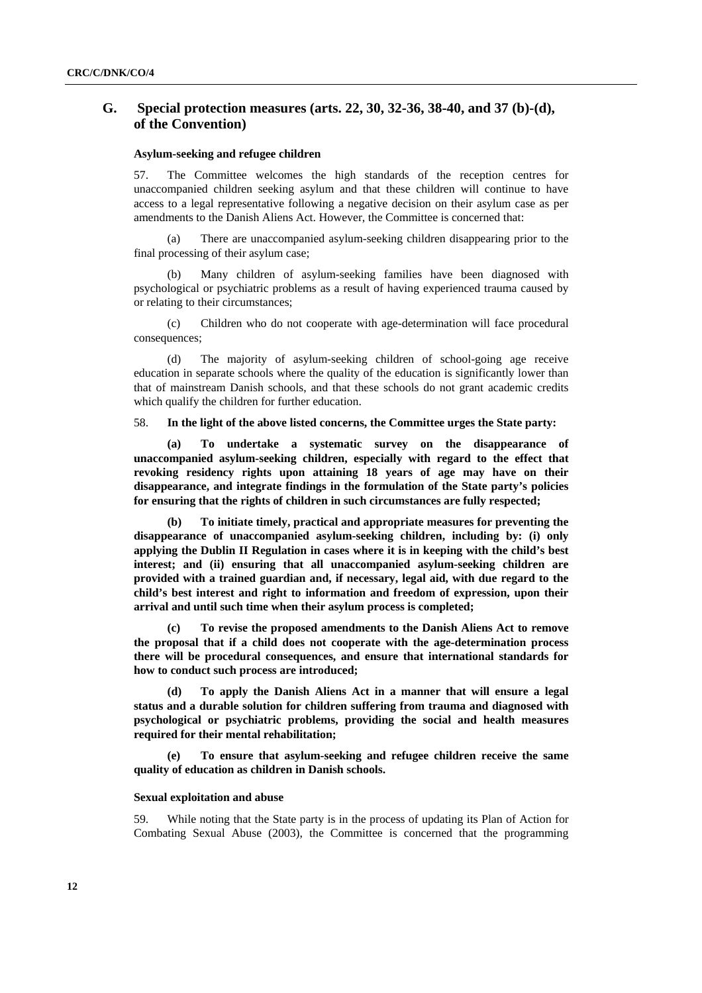# **G. Special protection measures (arts. 22, 30, 32-36, 38-40, and 37 (b)-(d), of the Convention)**

## **Asylum-seeking and refugee children**

57. The Committee welcomes the high standards of the reception centres for unaccompanied children seeking asylum and that these children will continue to have access to a legal representative following a negative decision on their asylum case as per amendments to the Danish Aliens Act. However, the Committee is concerned that:

(a) There are unaccompanied asylum-seeking children disappearing prior to the final processing of their asylum case;

(b) Many children of asylum-seeking families have been diagnosed with psychological or psychiatric problems as a result of having experienced trauma caused by or relating to their circumstances;

(c) Children who do not cooperate with age-determination will face procedural consequences;

(d) The majority of asylum-seeking children of school-going age receive education in separate schools where the quality of the education is significantly lower than that of mainstream Danish schools, and that these schools do not grant academic credits which qualify the children for further education.

58. **In the light of the above listed concerns, the Committee urges the State party:** 

**(a) To undertake a systematic survey on the disappearance of unaccompanied asylum-seeking children, especially with regard to the effect that revoking residency rights upon attaining 18 years of age may have on their disappearance, and integrate findings in the formulation of the State party's policies for ensuring that the rights of children in such circumstances are fully respected;** 

**(b) To initiate timely, practical and appropriate measures for preventing the disappearance of unaccompanied asylum-seeking children, including by: (i) only applying the Dublin II Regulation in cases where it is in keeping with the child's best interest; and (ii) ensuring that all unaccompanied asylum-seeking children are provided with a trained guardian and, if necessary, legal aid, with due regard to the child's best interest and right to information and freedom of expression, upon their arrival and until such time when their asylum process is completed;** 

**(c) To revise the proposed amendments to the Danish Aliens Act to remove the proposal that if a child does not cooperate with the age-determination process there will be procedural consequences, and ensure that international standards for how to conduct such process are introduced;** 

**(d) To apply the Danish Aliens Act in a manner that will ensure a legal status and a durable solution for children suffering from trauma and diagnosed with psychological or psychiatric problems, providing the social and health measures required for their mental rehabilitation;** 

**(e) To ensure that asylum-seeking and refugee children receive the same quality of education as children in Danish schools.** 

## **Sexual exploitation and abuse**

59. While noting that the State party is in the process of updating its Plan of Action for Combating Sexual Abuse (2003), the Committee is concerned that the programming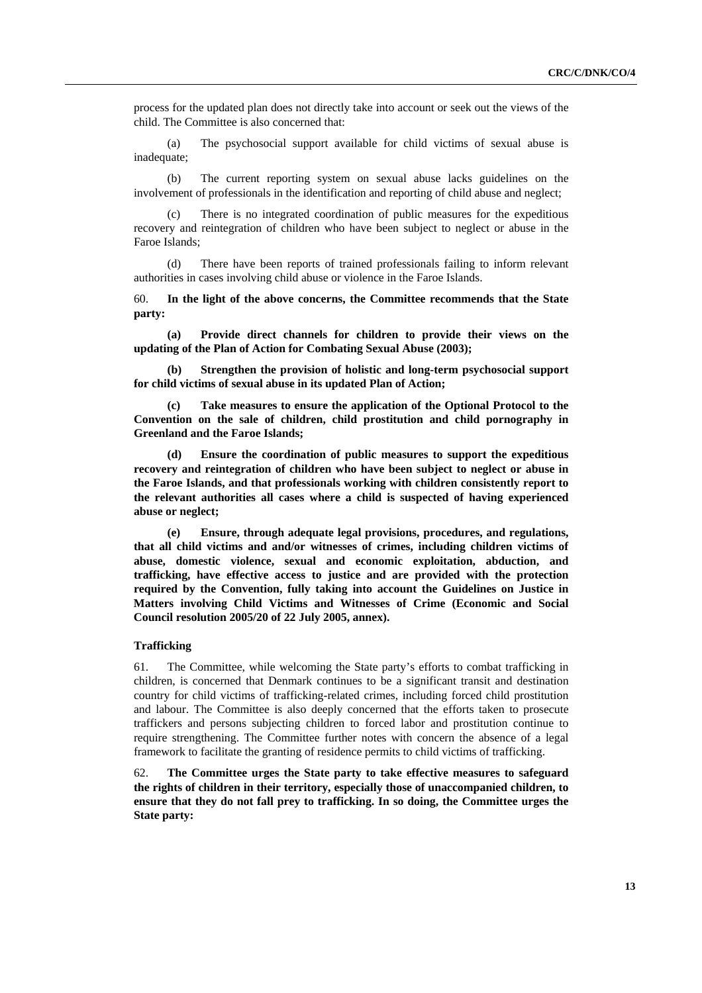process for the updated plan does not directly take into account or seek out the views of the child. The Committee is also concerned that:

(a) The psychosocial support available for child victims of sexual abuse is inadequate;

(b) The current reporting system on sexual abuse lacks guidelines on the involvement of professionals in the identification and reporting of child abuse and neglect;

(c) There is no integrated coordination of public measures for the expeditious recovery and reintegration of children who have been subject to neglect or abuse in the Faroe Islands;

(d) There have been reports of trained professionals failing to inform relevant authorities in cases involving child abuse or violence in the Faroe Islands.

60. **In the light of the above concerns, the Committee recommends that the State party:** 

**(a) Provide direct channels for children to provide their views on the updating of the Plan of Action for Combating Sexual Abuse (2003);** 

**(b) Strengthen the provision of holistic and long-term psychosocial support for child victims of sexual abuse in its updated Plan of Action;** 

**(c) Take measures to ensure the application of the Optional Protocol to the Convention on the sale of children, child prostitution and child pornography in Greenland and the Faroe Islands;** 

**(d) Ensure the coordination of public measures to support the expeditious recovery and reintegration of children who have been subject to neglect or abuse in the Faroe Islands, and that professionals working with children consistently report to the relevant authorities all cases where a child is suspected of having experienced abuse or neglect;** 

**(e) Ensure, through adequate legal provisions, procedures, and regulations, that all child victims and and/or witnesses of crimes, including children victims of abuse, domestic violence, sexual and economic exploitation, abduction, and trafficking, have effective access to justice and are provided with the protection required by the Convention, fully taking into account the Guidelines on Justice in Matters involving Child Victims and Witnesses of Crime (Economic and Social Council resolution 2005/20 of 22 July 2005, annex).** 

## **Trafficking**

61. The Committee, while welcoming the State party's efforts to combat trafficking in children, is concerned that Denmark continues to be a significant transit and destination country for child victims of trafficking-related crimes, including forced child prostitution and labour. The Committee is also deeply concerned that the efforts taken to prosecute traffickers and persons subjecting children to forced labor and prostitution continue to require strengthening. The Committee further notes with concern the absence of a legal framework to facilitate the granting of residence permits to child victims of trafficking.

62. **The Committee urges the State party to take effective measures to safeguard the rights of children in their territory, especially those of unaccompanied children, to ensure that they do not fall prey to trafficking. In so doing, the Committee urges the State party:**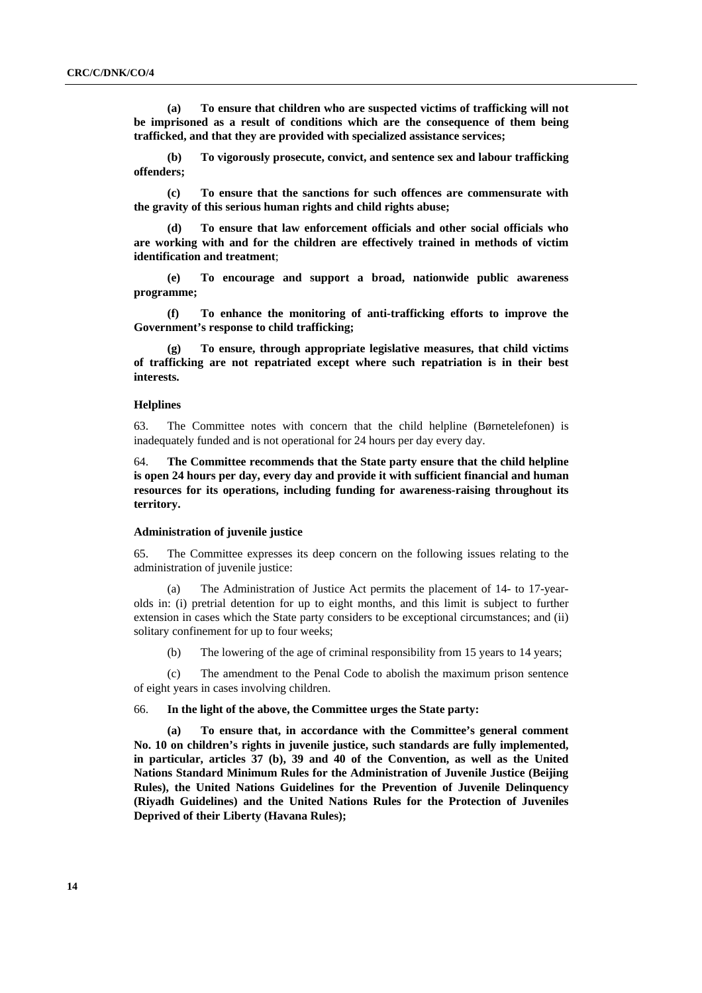**(a) To ensure that children who are suspected victims of trafficking will not be imprisoned as a result of conditions which are the consequence of them being trafficked, and that they are provided with specialized assistance services;** 

**(b) To vigorously prosecute, convict, and sentence sex and labour trafficking offenders;** 

**(c) To ensure that the sanctions for such offences are commensurate with the gravity of this serious human rights and child rights abuse;** 

**(d) To ensure that law enforcement officials and other social officials who are working with and for the children are effectively trained in methods of victim identification and treatment**;

**(e) To encourage and support a broad, nationwide public awareness programme;** 

**(f) To enhance the monitoring of anti-trafficking efforts to improve the Government's response to child trafficking;** 

**(g) To ensure, through appropriate legislative measures, that child victims of trafficking are not repatriated except where such repatriation is in their best interests.** 

#### **Helplines**

63. The Committee notes with concern that the child helpline (Børnetelefonen) is inadequately funded and is not operational for 24 hours per day every day.

64. **The Committee recommends that the State party ensure that the child helpline is open 24 hours per day, every day and provide it with sufficient financial and human resources for its operations, including funding for awareness-raising throughout its territory.** 

#### **Administration of juvenile justice**

65. The Committee expresses its deep concern on the following issues relating to the administration of juvenile justice:

(a) The Administration of Justice Act permits the placement of 14- to 17-yearolds in: (i) pretrial detention for up to eight months, and this limit is subject to further extension in cases which the State party considers to be exceptional circumstances; and (ii) solitary confinement for up to four weeks;

(b) The lowering of the age of criminal responsibility from 15 years to 14 years;

(c) The amendment to the Penal Code to abolish the maximum prison sentence of eight years in cases involving children.

### 66. **In the light of the above, the Committee urges the State party:**

**(a) To ensure that, in accordance with the Committee's general comment No. 10 on children's rights in juvenile justice, such standards are fully implemented, in particular, articles 37 (b), 39 and 40 of the Convention, as well as the United Nations Standard Minimum Rules for the Administration of Juvenile Justice (Beijing Rules), the United Nations Guidelines for the Prevention of Juvenile Delinquency (Riyadh Guidelines) and the United Nations Rules for the Protection of Juveniles Deprived of their Liberty (Havana Rules);**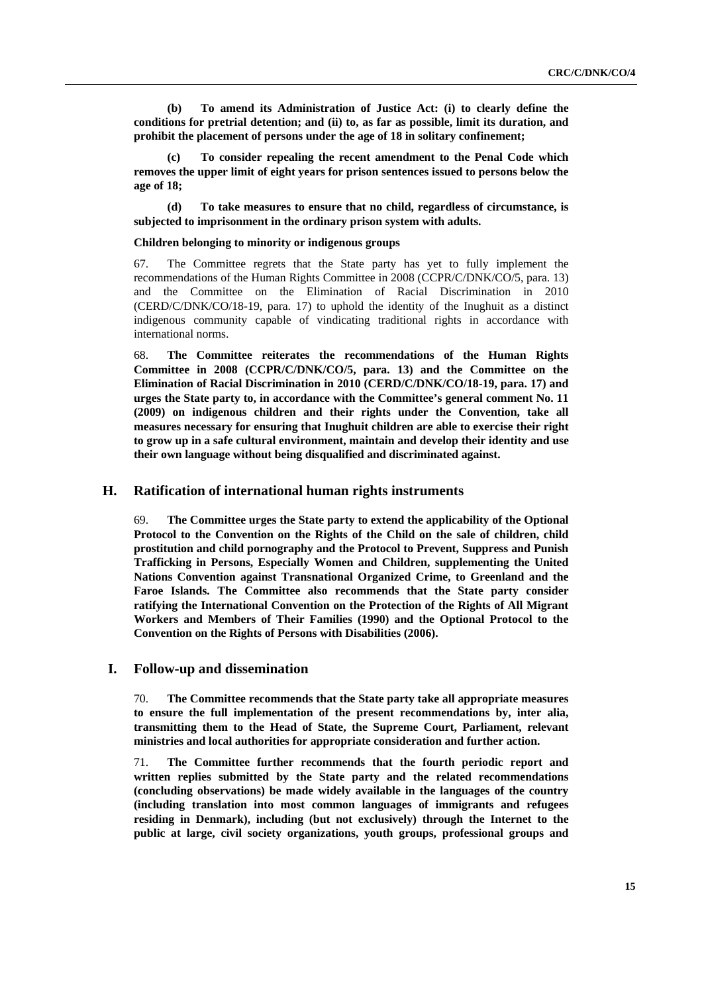**(b) To amend its Administration of Justice Act: (i) to clearly define the conditions for pretrial detention; and (ii) to, as far as possible, limit its duration, and prohibit the placement of persons under the age of 18 in solitary confinement;** 

**(c) To consider repealing the recent amendment to the Penal Code which removes the upper limit of eight years for prison sentences issued to persons below the age of 18;** 

**(d) To take measures to ensure that no child, regardless of circumstance, is subjected to imprisonment in the ordinary prison system with adults.** 

### **Children belonging to minority or indigenous groups**

67. The Committee regrets that the State party has yet to fully implement the recommendations of the Human Rights Committee in 2008 (CCPR/C/DNK/CO/5, para. 13) and the Committee on the Elimination of Racial Discrimination in 2010 (CERD/C/DNK/CO/18-19, para. 17) to uphold the identity of the Inughuit as a distinct indigenous community capable of vindicating traditional rights in accordance with international norms.

68. **The Committee reiterates the recommendations of the Human Rights Committee in 2008 (CCPR/C/DNK/CO/5, para. 13) and the Committee on the Elimination of Racial Discrimination in 2010 (CERD/C/DNK/CO/18-19, para. 17) and urges the State party to, in accordance with the Committee's general comment No. 11 (2009) on indigenous children and their rights under the Convention, take all measures necessary for ensuring that Inughuit children are able to exercise their right to grow up in a safe cultural environment, maintain and develop their identity and use their own language without being disqualified and discriminated against.** 

## **H. Ratification of international human rights instruments**

69. **The Committee urges the State party to extend the applicability of the Optional Protocol to the Convention on the Rights of the Child on the sale of children, child prostitution and child pornography and the Protocol to Prevent, Suppress and Punish Trafficking in Persons, Especially Women and Children, supplementing the United Nations Convention against Transnational Organized Crime, to Greenland and the Faroe Islands. The Committee also recommends that the State party consider ratifying the International Convention on the Protection of the Rights of All Migrant Workers and Members of Their Families (1990) and the Optional Protocol to the Convention on the Rights of Persons with Disabilities (2006).** 

## **I. Follow-up and dissemination**

70. **The Committee recommends that the State party take all appropriate measures to ensure the full implementation of the present recommendations by, inter alia, transmitting them to the Head of State, the Supreme Court, Parliament, relevant ministries and local authorities for appropriate consideration and further action.**

71. **The Committee further recommends that the fourth periodic report and written replies submitted by the State party and the related recommendations (concluding observations) be made widely available in the languages of the country (including translation into most common languages of immigrants and refugees residing in Denmark), including (but not exclusively) through the Internet to the public at large, civil society organizations, youth groups, professional groups and**